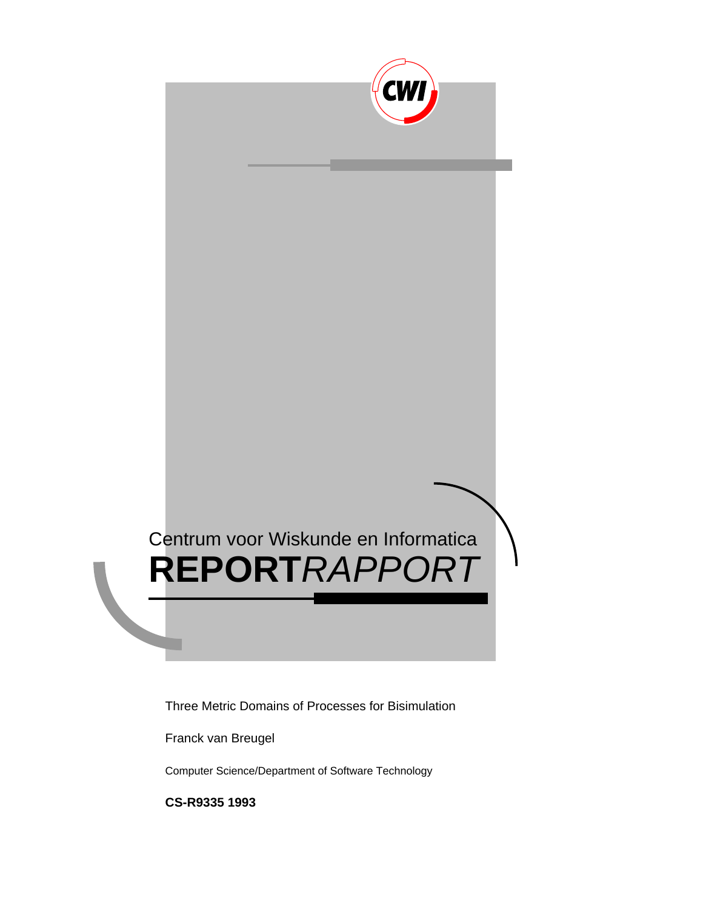

Three Metric Domains of Processes for Bisimulation

Franck van Breugel

Computer Science/Department of Software Technology

**CS-R9335 1993**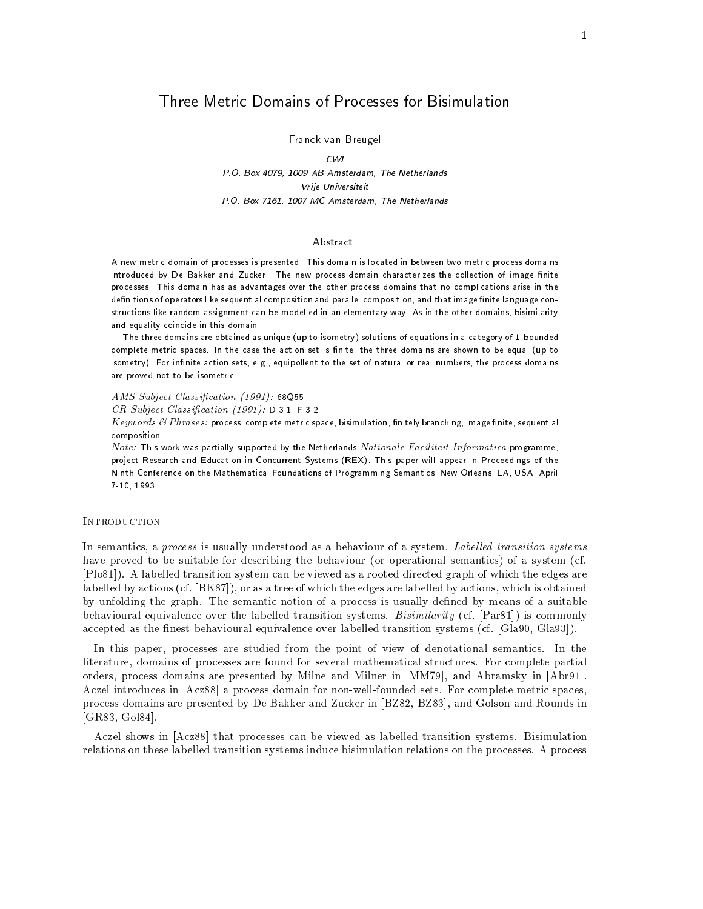# Three Metric Domains of Processes for Bisimulation

Franck van Breugel

<u>box , absolute the Netherlands (Netherlands)</u> Vrije Universiteit P-O- Box MC Amsterdam The Netherlands

### Abstract

A new metric domain of processes is presented- This domain is located in between two metric process domains introduced by De Bakker and Zucker- The new process domain characterizes the collection of image nite processes- This domain has as advantages over the other process domains that no complications arise in the definitions of operators like sequential composition and parallel composition, and that image finite language constructions like random assignment can be modelled in an elementary way- As in the other domains bisimilarity and equality coincide in this domain.

The three domains are obtained as unique (up to isometry) solutions of equations in a category of 1-bounded complete metric spaces-the action set is nite the action set is nite three domains are shown to be equal up to isometry- For innite action sets e-g- equipollent to the set of natural or real numbers the process domains are proved not to be isometric-

 $\alpha$  and  $\alpha$  and  $\alpha$  and  $\alpha$  and  $\alpha$  and  $\alpha$  and  $\alpha$  and  $\alpha$  and  $\alpha$  and  $\alpha$ 

r a se ma jaar radion jaar teen ja saal ja meesta ja see meesta meesta meesta meesta meesta meesta meesta mees

Keywords  $\&$  Phrases: process, complete metric space, bisimulation, finitely branching, image finite, sequential composition

Note: This work was partially supported by the Netherlands Nationale Faciliteit Informatica programme, project research and Education in Concertent Systems Rex-Rey fine paper will appear in Proceedings of the Ninth Conference on the Mathematical Foundations of Programming Semantics New Orleans LA USA April 7 10 1993

### INTRODUCTION

In semantics- a process is usually understood as a behaviour of a system Label led transition systems have proved to be suitable for describing the behaviour (or operational semantics) of a system (cf.  $[P1081]$ . A labelled transition system can be viewed as a rooted directed graph of which the edges are labelled by actions cf BK - or as a tree of which the edges are labelled by actions- which is obtained by unfolding the graph. The semantic notion of a process is usually defined by means of a suitable behavioural equivalence over the labelled transition systems. Bisimilarity (cf.  $\text{[Par81]}$ ) is commonly accepted as the nest behaviour community included the characteristic transition systems ( ) and ( ) which is p

In this paper- processes are studied from the point of view of denotational semantics In the literature- domains of processes are found for several mathematical structures For complete partial orders process domains are presented by Milner and Milner in Milner in Abramsky in Milner i Aczel introduces in [Acz88] a process domain for non-well-founded sets. For complete metric spaces, process domains are presented by De Bakker and During in De Backer in Baker and Allen and Rounds in B GR- Gol 

Aczel shows in [Acz88] that processes can be viewed as labelled transition systems. Bisimulation relations on these labelled transition systems induce bisimulation relations on the processes A process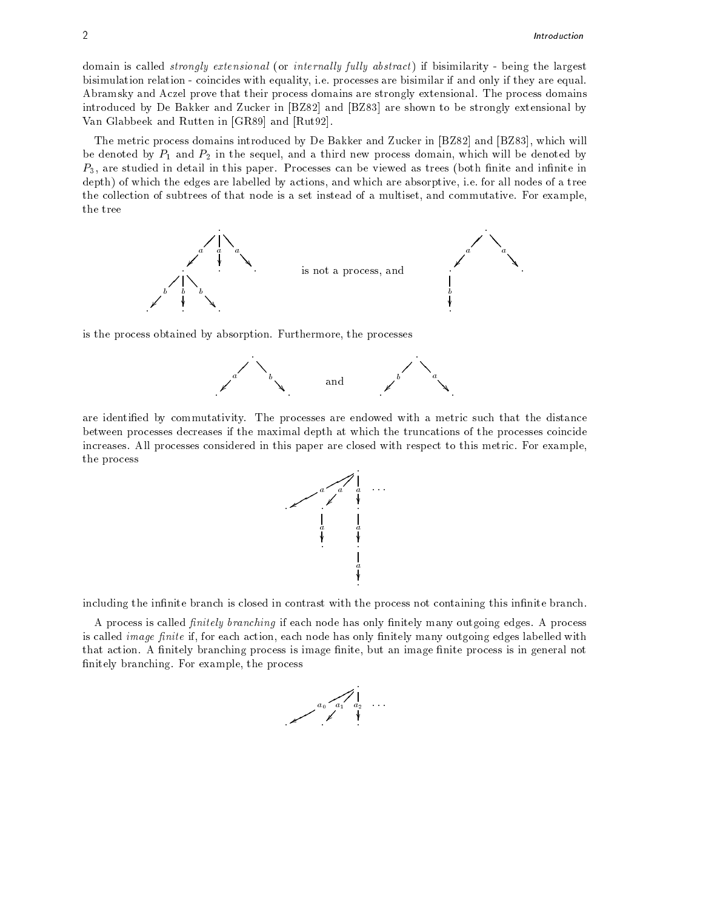domain is called *strongly extensional* (or *internally fully abstract*) if bisimilarity - being the largest bisimulation relations with the processes are processes with and only if they are equality if  $\alpha$ Abramsky and Aczel prove that their process domains are strongly extensional The process domains introduced by De Bakker and Zucker in [BZ82] and [BZ83] are shown to be strongly extensional by Van Glabbeek and Rutten in  $[GR89]$  and  $[Rut92]$ .

The metric process domains introduced by De Bakker and During in Back process in Backer in B be denoted by P and P- in the sequel- and a third new process domain- which will be denoted by  $P$ -are studied in this paper Processes can be viewed as trees both nite and innite innite innite innite innite innite innite innite innite innite innite innite innite innite innite innite innite innite innite innite inni depth of which the edges are labelled by actions-by actions-by actions-by actionsthe collection of subtrees of that node is a set instead of a multiset- and commutative For examplethe tree



is the process obtained by absorption Furthermore- the processes



are identified by commutativity. The processes are endowed with a metric such that the distance between processes decreases if the maximal depth at which the truncations of the processes coincide increases. All processes considered in this paper are closed with respect to this metric. For example, the process



including the infinite branch is closed in contrast with the process not containing this infinite branch.

A process is called -nitely branching if each node has only nitely many outgoing edges A process is called image forms in the called actional called with all the forms in all the called with the many called with that action as images is imaginary process is image mixed in  $\alpha$  image nite  $\rho$  is in  $\alpha$  in the mass nitely branching For example-branching For example-

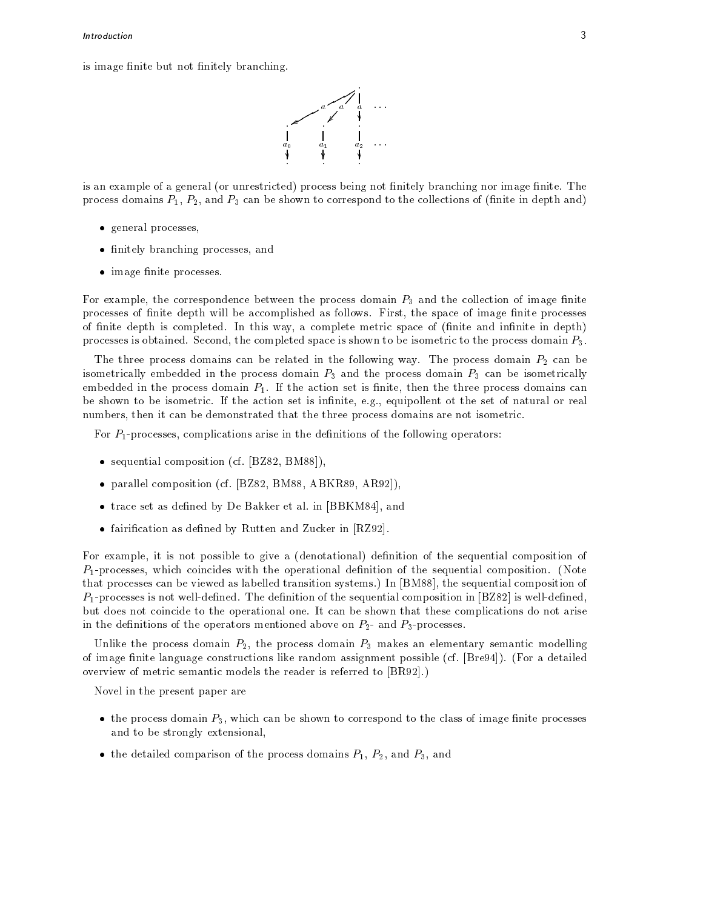is image finite but not finitely branching.



is an example of a general (or unrestricted) process being not finitely branching nor image finite. The process domains P-1) - 2) which p-1) compared to the correspond to the correspond to (mainter and proposed the

- general processes,
- finitely branching processes, and
- $\bullet$  image finite processes.

For example- the correspondence between the process domain P and the collection of image nite processes of nites acpoint will be accomplished as follows First- of its processes for interesting the processes of nites a complete in this way-this way-this way-this metric space of  $\mu$  and it and in depth  $\mu$ processes is obtained. Second, the completed space is shown to be isometric to the process domain  $P_3$ .

The three process domains can be related in the following way. The process domain  $P_2$  can be isometrically embedded in the process domain  $P_3$  and the process domain  $P_3$  can be isometrically embedded in the process domain P If the action set is nite- then the three process domains can be shown to be innite-innite-innite-innite-innite-innite-innite-innite-innite-innite-innite-innite-innite-innite-innite-innite-innite-innite-innite-innite-innite-innite-innite-innite-innite-innite-innite-innite-innite-inn numbers-then it can be demonstrated that the three process domains are not in the three process domains are no

For Pprocesses- complications arise in the denitions of the following operators

- sequential composition (cf. [BZ82, BM88]),
- parallel composition (cf.  $[BZ82, BM88, ABKR89, AR92]$ ),
- trace set as defined by De Bakker et al. in [BBKM84], and
- $\bullet$  fairification as defined by Rutten and Zucker in [RZ92].

For example- it is not possible to give a denotational denition of the sequential composition of Pprocesses- which coincides with the operational denition of the sequential composition Note that processes can be viewed as labelled transition systems In BM - the sequential composition of the sequential co  $P_1$ -processes is not well-defined. The definition of the sequential composition in [BZ82] is well-defined, but does not coincide to the operational one It can be shown that these complications do not arise in the denitions of the operators mentioned above on P- and Pprocesses

Unlike the process domain P-- the process domain P makes an elementary semantic modelling of image finite language constructions like random assignment possible (cf.  $[Bre94]$ ). (For a detailed overview of metric semantic models the reader is referred to  $[BR92]$ .

Novel in the present paper are

- the process domain  $P_3$ , which can be shown to correspond to the class of image finite processes and to be strongly extensional,
- the detailed comparison of the process domains  $P_1$ ,  $P_2$ , and  $P_3$ , and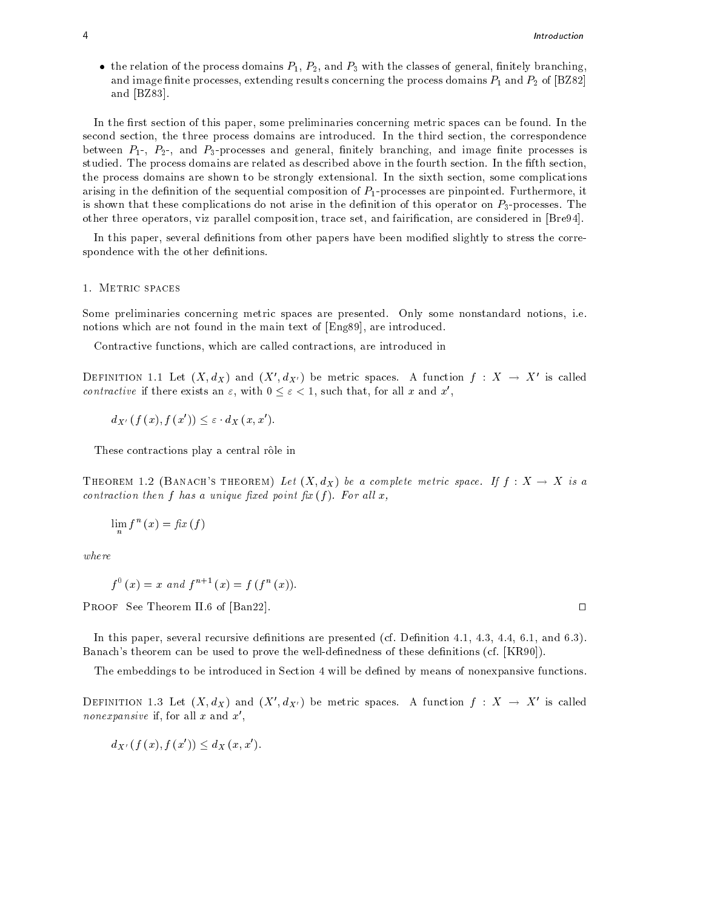• the relation of the process domains  $P_1$ ,  $P_2$ , and  $P_3$  with the classes of general, finitely branching, and image nite processes, including the process domains  $\rho$  and process domains to process domains  $\rho$  and  $\rho$  and  $\rho$ and  $[BZ83]$ .

In the rst section of this paper- some preliminaries concerning metric spaces can be found In the second section- the three process domains are introduced In the third section- the correspondence between P- P-- and Pprocesses and general- nitely branching- and image nite processes is studied. The process domains are related as described above in the fourth section. In the fifth section, the process domains are shown to be strongly extensional In the sixth section-sixth section-sixth section-sixth section-sixth section-sixth section-sixth section-sixth section-sixth section-sixth section-sixth section-six arising in the denition of the sequential composition of Pprocesses are pinpointed Furthermore- it is shown that these complications do not arise in the definition of this operator on  $P_3$ -processes. The other three operators- viz parallel composition- trace set- and fairication- are considered in Bre 

In this paper- several denitions from other papers have been modied slightly to stress the corre spondence with the other definitions.

Some preliminaries concerning metric spaces are presented Only some nonstandard notions- ie notions which are not found in the main text of  $\mathbf{A}$  are introduced in the main text of English and the main text of English and the main text of English and the main text of English and the main text of English and t

, are interest are called contractions-called contractions-called interest are interesting into

DEFINITION 1.1 Let  $(X, d_X)$  and  $(X', d_{X'})$  be metric spaces. A function  $f : X \to X'$  is called contractive if there exists an  $\varepsilon$ , with  $0 \leq \varepsilon < 1$ , such that, for all x and x',

 $d_{X'}(f(x), f(x')) \leq \varepsilon \cdot d_X(x, x').$ 

These contractions play a central rôle in

THEOREM 1.2 (BANACH'S THEOREM) Let  $(X, d_X)$  be a complete metric space. If  $f : X \to X$  is a contraction then f has a unique -xed point -<sup>x</sup> f For al l x

$$
\lim_{n} f^{n}(x) = \text{fix}(f)
$$

where

$$
f^{0}(x) = x
$$
 and  $f^{n+1}(x) = f(f^{n}(x))$ .

**PROOF** See Theorem II.6 of [Ban22].

in the several recursive denitions are presented constructions are presented constructions are presented constr Banach's theorem can be used to prove the well-definedness of these definitions (cf.  $[KR90]$ ).

The embeddings to be introduced in Section 4 will be defined by means of nonexpansive functions.

DEFINITION 1.3 Let  $(X, d_X)$  and  $(X', d_{X'})$  be metric spaces. A function  $f : X \to X'$  is called *nonexpansive* ii, for all  $x$  and  $x$  ,  $\hspace{0.2cm}$ 

$$
d_{X'}(f(x), f(x')) \leq d_X(x, x').
$$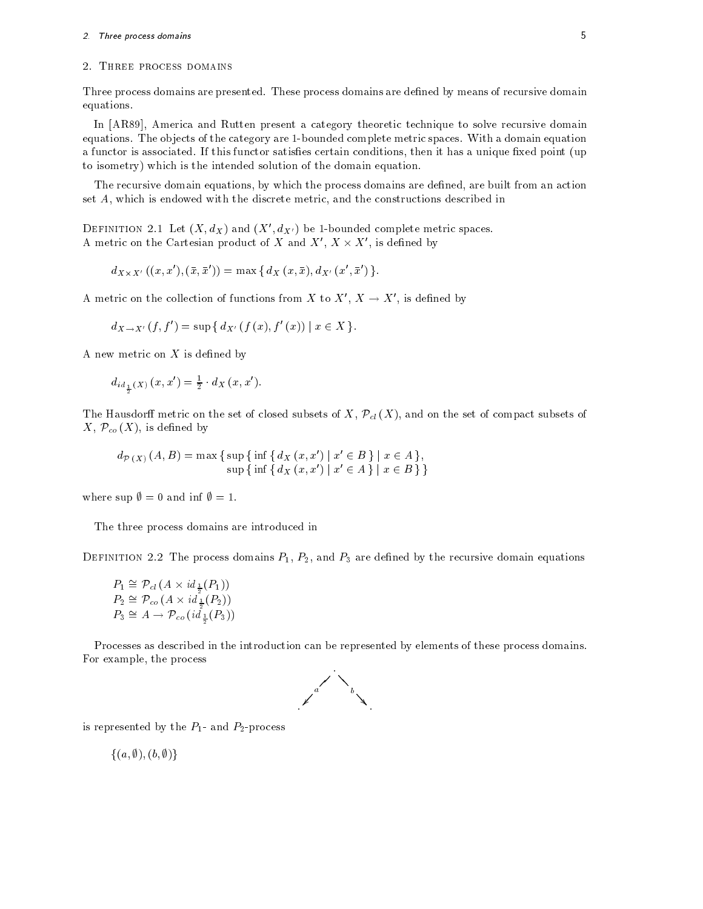### - Three process domains

## 2. THREE PROCESS DOMAINS

Three process domains are presented. These process domains are defined by means of recursive domain equations

in present and rutter and rutter present a category theoretic technique to solve recursive domains and equations. The objects of the category are 1-bounded complete metric spaces. With a domain equation a function is associated If the If this function satisfaction conditions, chain it has a unique xed point  $\{x\}$ to isometry) which is the intended solution of the domain equation.

The recursive domain equations- by which the process domains are dened- are built from an action set algum is en discrete with the discrete metric-discrete metric-discrete metric-discrete in the construction

DEFINITION 2.1 Let  $(A, a_X)$  and  $(A, a_{X'})$  be 1-bounded complete metric spaces. A metric on the Cartesian product of X and  $X', X \times X'$ , is defined by

$$
d_{X\times X'}((x,x'),(\bar{x},\bar{x}'))=\max\{d_X(x,\bar{x}),d_{X'}(x',\bar{x}')\}.
$$

A metric on the collection of functions from X to  $X', X \to X'$ , is defined by

 $d_{X \to X'}(f, f') = \sup \{ d_{X'}(f(x), f'(x)) \mid x \in X \}$ 

A new metric on  $X$  is defined by

$$
d_{id_{\frac{1}{2}}(X)}(x, x') = \frac{1}{2} \cdot d_X(x, x').
$$

-

The Hausdorff metric on the set of closed subsets of  $X, \mathcal{P}_{cl}(X)$ , and on the set of compact subsets of  $X, \mathcal{P}_{co}(X)$ , is defined by sets of X,  $\mathcal{P}_{cl}(X)$ , and on the s<br>  $x'$  |  $x' \in B$  } |  $x \in A$  }, sets of X,  $\mathcal{P}_{cl}(X)$ , and on the s $\begin{array}{l} x') \mid x' \in B \} \mid x \in A \}, \ \ x') \mid x' \in A \} \mid x \in B \} \end{array}$ 

$$
d_{\mathcal{P}(X)}(A, B) = \max \{ \sup \{ \inf \{ d_X(x, x') \mid x' \in B \} \mid x \in A \},
$$
  
 
$$
\sup \{ \inf \{ d_X(x, x') \mid x' \in A \} \mid x \in B \} \}
$$

where sup  $\emptyset = 0$  and inf  $\emptyset = 1$ .

The three process domains are introduced in

DEFINITION 2.2 The process domains 
$$
P_1
$$
,  $P_2$ , and  $P_3$  are defined by the recursive domain equations  
\n
$$
P_1 \cong \mathcal{P}_{cl}(A \times id_{\frac{1}{2}}(P_1))
$$
\n
$$
P_2 \cong \mathcal{P}_{co}(A \times id_{\frac{1}{2}}(P_2))
$$
\n
$$
P_3 \cong A \to \mathcal{P}_{co}(id_{\frac{1}{2}}(P_3))
$$

Processes as described in the introduction can be represented by elements of these process domains For example- the process



is represented by the P and P-process

 $\{(a,\emptyset), (b,\emptyset)\}\$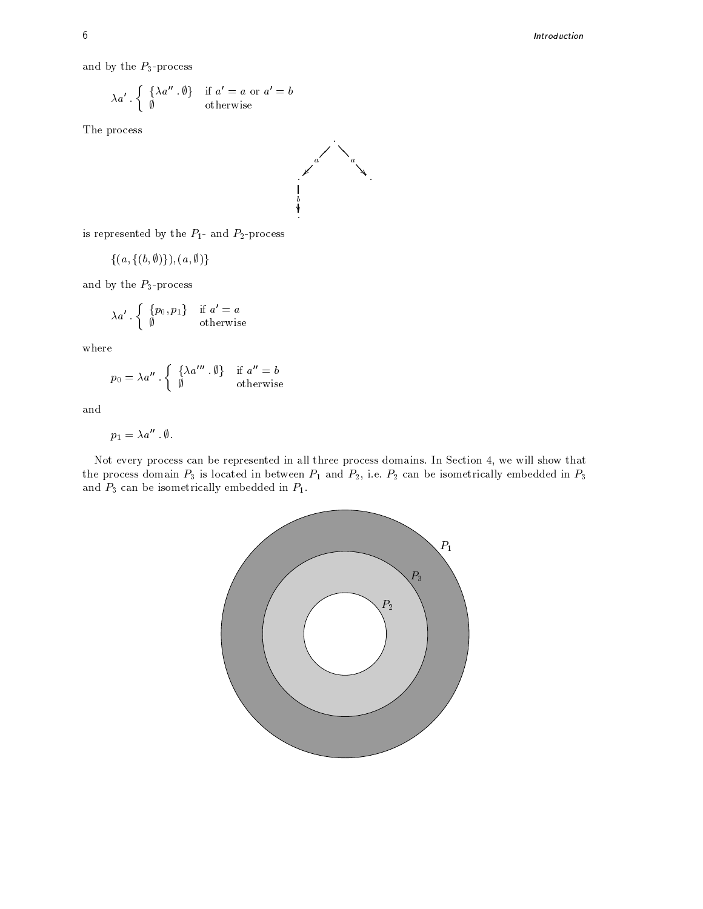and by the  $\mathcal{P}_3$  -process

$$
\lambda a' \cdot \left\{ \begin{array}{ll} \{\lambda a'' \cdot \emptyset\} & \text{if } a' = a \text{ or } a' = b \\ \emptyset & \text{otherwise} \end{array} \right.
$$

The process



is represented by the P and P-process

 $\{(a,\{(b,\emptyset)\}\},(a,\emptyset)\}\$ 

and by the  $\mathcal{P}_3$  -process

$$
\lambda a' \cdot \left\{ \begin{array}{ll} \{p_0, p_1\} & \text{if } a' = a \\ \emptyset & \text{otherwise} \end{array} \right.
$$

where

$$
p_0 = \lambda a'' \cdot \left\{ \begin{array}{ll} \{\lambda a''' \cdot \emptyset\} & \text{if } a'' = b \\ \emptyset & \text{otherwise} \end{array} \right.
$$

and

$$
p_1 = \lambda a'' \cdot \emptyset.
$$

Not every process can be represented in all three process domains In Section - we will show that the process domain P is located in between P is located in and P-2 can be included in P-2 can be in P-2 can be and P can be isometrically embedded in P can be in P can be in P can be in P can be in P can be in P can be in

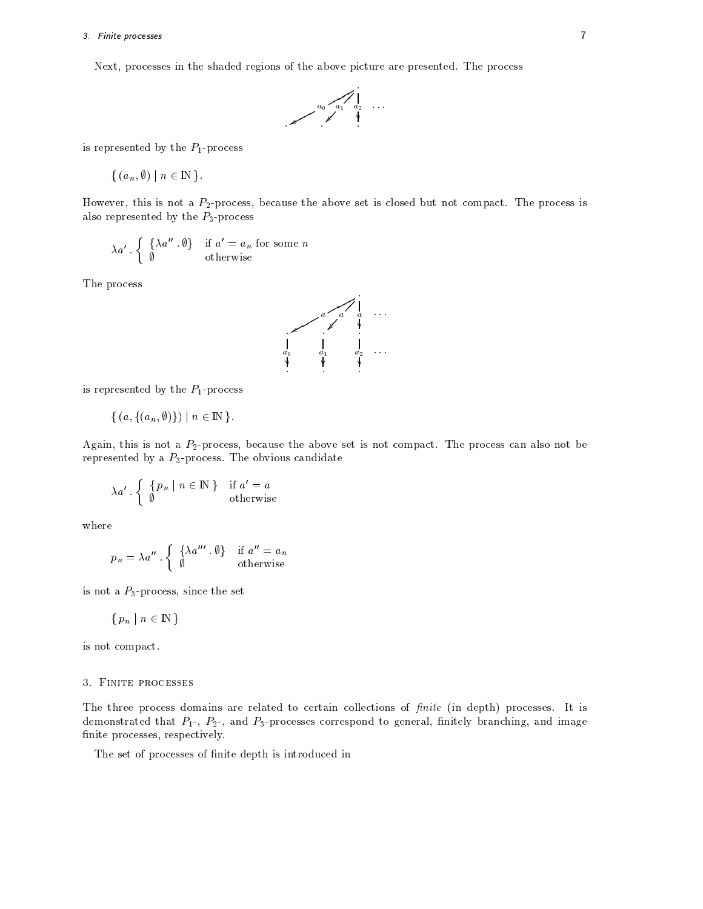### - Finite processes

Next- processes in the shaded regions of the above picture are presented The process



is represented by the  $P_1$ -process

 $\{(a_n,\emptyset) \mid n \in \mathbb{N}\}\.$ 

However- this is not a P-process- because the above set is closed but not compact The process is also represented by the  $P_3$ -process

$$
\lambda a' \cdot \left\{ \begin{array}{ll} \{\lambda a'' \cdot \emptyset\} & \text{if } a' = a_n \text{ for some } n \\ \emptyset & \text{otherwise} \end{array} \right.
$$

The process



is represented by the  $P_1$ -process

$$
\{(a,\{(a_n,\emptyset)\})\mid n\in\mathbb{N}\}.
$$

Again- this is not a P-process- because the above set is not compact The process can also not be represented by a  $P_3$ -process. The obvious candidate

$$
\lambda a' \cdot \left\{ \begin{array}{c} \{p_n \mid n \in \mathbb{N} \} & \text{if } a' = a \\ \emptyset & \text{otherwise} \end{array} \right.
$$

where

$$
p_n = \lambda a'' \cdot \left\{ \begin{array}{ll} \{\lambda a''' \ . \ \emptyset\} & \text{if } a'' = a_n \\ \emptyset & \text{otherwise} \end{array} \right.
$$

is not a Pprocess-Box and the set of the set of the set of the set of the set of the set of the set of the set

$$
\{p_n \mid n \in \mathbb{N}\}\
$$

is not compact

# Finite processes

The three process domains are related to certain collections of -nite in depth processes It is demonstrated that P- P-- and Pprocesses correspond to general- nitely branching- and image nite processes- respectively. The processes- respectively, the processes- respectively, and the processes-

The set of processes of finite depth is introduced in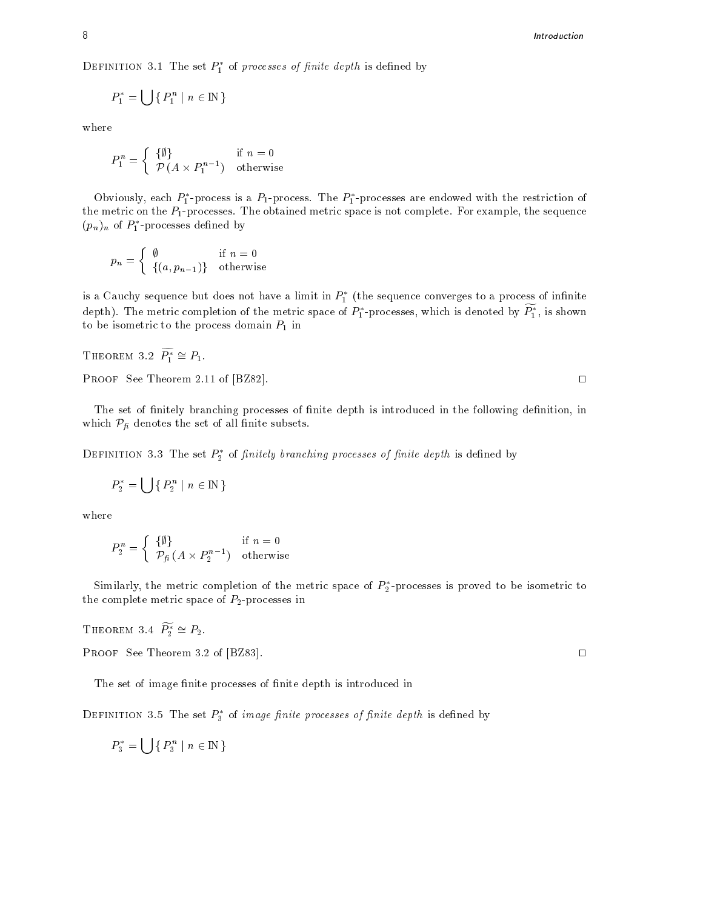DEFINITION 5.1 The set  $P_1$  of processes of finite depth is defined by

$$
P_1^* = \bigcup \{ P_1^n \mid n \in \mathbb{N} \}
$$

where

$$
P_1^n = \left\{ \begin{array}{ll} \{ \emptyset \} & \text{if } n = 0 \\ \mathcal{P} \left( A \times P_1^{n-1} \right) & \text{otherwise} \end{array} \right.
$$

Obviously, each  $P_1$ -process is a  $P_1$ -process. The  $P_1$ -processes are endowed with the restriction of the metric on the Pprocesses The obtained metric space is not complete For examples in the sequence  $\sim$  $(p_n)_n$  or  $P_1$ -processes defined by

$$
p_n = \begin{cases} \n\emptyset & \text{if } n = 0 \\ \n\{(a, p_{n-1})\} & \text{otherwise} \n\end{cases}
$$

is a Cauchy sequence but does not have a limit in  $P_1^+$  (the sequence converges to a process of infinite depth). The metric completion of the metric space of  $P_1$ -processes, which is denoted by  $P_1$ , is shown to be isometric to the process domain  $P_1$  in

THEOREM 3.2  $\widetilde{P_1^*} \cong P_1$ .

PROOF See Theorem 2.11 of [BZ82].  $\Box$ 

The set of nite depth is introduced in the following processes of nite depth in the following denitionwhich  $\mathcal{P}_{\text{fi}}$  denotes the set of all finite subsets.

DEFINITION 5.5 The set  $P_2$  of *finitely branching processes of finite depth* is defined by

$$
P_2^* = \bigcup \Set{ P_2^n \mid n \in {\rm I\! N} }
$$

where

$$
P_2^n = \left\{ \begin{array}{ll} \{ \emptyset \} & \text{if } n = 0 \\ \mathcal{P}_{\text{fi}} \left( A \times P_2^{n-1} \right) & \text{otherwise} \end{array} \right.
$$

Similarly, the metric completion of the metric space of  $P_2$ -processes is proved to be isometric to the complete metric space of P-processes in

THEOREM 3.4  $\widetilde{P_2^*} \cong P_2$ .

PROOF See Theorem 3.2 of [BZ83].

The set of image finite processes of finite depth is introduced in

DEFINITION 5.5 The set  $P_3$  of *image finite processes of finite depth* is defined by

 $P_3^* = \left[ \begin{array}{c} \end{array} \right] \left\{ P_3^n \mid n \in \mathbb{N} \right. \}$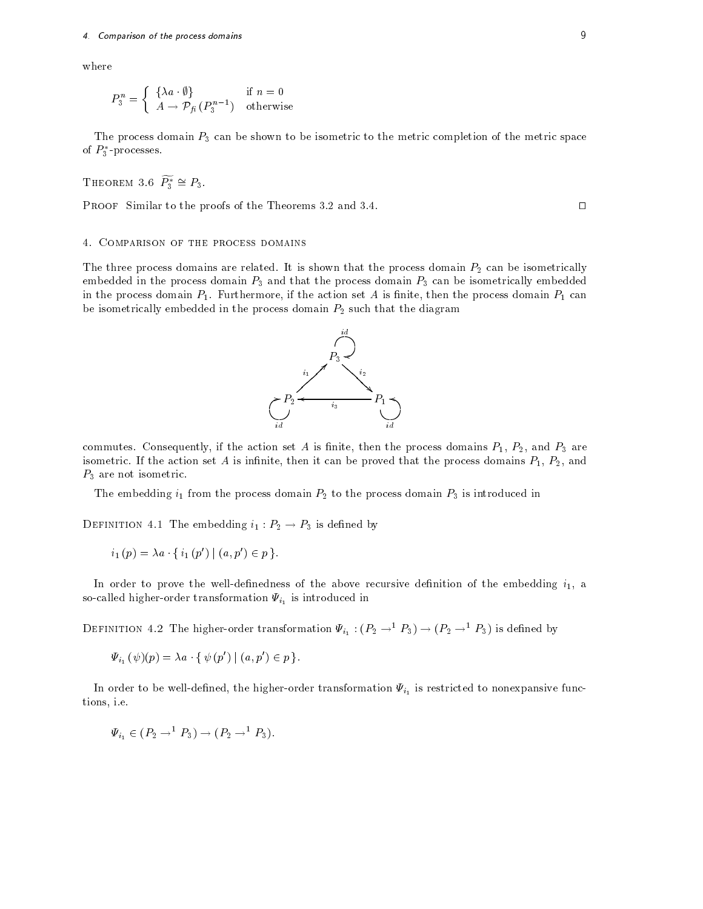where

mparison of the process domains  
\n:  
\n
$$
P_3^n = \begin{cases} \{\lambda a \cdot \emptyset\} & \text{if } n = 0 \\ A \to \mathcal{P}_{\hat{H}}\left(P_3^{n-1}\right) & \text{otherwise} \end{cases}
$$

The process domain  $P_3$  can be shown to be isometric to the metric completion of the metric space of  $P_3$  -processes.

THEOREM 3.6 
$$
\widetilde{P_3}^* \cong P_3
$$
.

**PROOF** Similar to the proofs of the Theorems  $3.2$  and  $3.4$ .

The three process domains are related It is shown that the process domain P- can be isometrically embedded in the process domain  $P_3$  and that the process domain  $P_3$  can be isometrically embedded in the process domain PFU  $\,$  is nite-then the action set A is nite-then the process domain P can is not action set A is not action set A is not action set A is not action set A is no  $\,$ be isometrically domain that the process domain  $\mathbb{F}_q$  while the diagrams  $\mathbb{F}_q$ 

commutes consequently, if the action set as is nite-th, then the process domains P-1, P-2, and P-1, and P-1, a isometric If the action set A is innite- then it can be proved that the process domains P- P-- and  $P_3$  are not isometric.

The embedding is to the process domain P-2 is interacted international process domain P-2 is interested in the

DEFINITION 4.1 The embedding  $i_1: P_2 \to P_3$  is defined by

NITION 4.1 The embedding 
$$
i_1 : P_2 \to P
$$
  
 $i_1(p) = \lambda a \cdot \{ i_1(p') | (a, p') \in p \}.$ 

In order to prove the welldenedness of the above recursive denition of the embedding i- a socalled higher transformation is  $\frac{1}{\sqrt{2}}$  is introduced in

DEFINITION 4.2 The higher-order transformation  $\Psi_{i_1}$ :  $(P_2 \rightarrow^1 P_3) \rightarrow (P_2 \rightarrow^1 P_3)$  is defined by mgner-order transformation<br>
on 4.2 The higher-order<br>  $(\psi)(p) = \lambda a \cdot \{ \psi(p') \mid (a, p) \}$ 

 $\Psi_{i_1}(\psi)(p) = \lambda a \cdot \{ \psi(p') \mid (a,p') \in p \}$ .

In the higherorder transformation is restricted to nonexpansion is restricted to nonexpansion in the set of  $\mu$ tions-between the control of the control of the control of the control of the control of the control of the co

$$
\Psi_{i_1} \in (P_2 \to^{\perp} P_3) \to (P_2 \to^{\perp} P_3).
$$

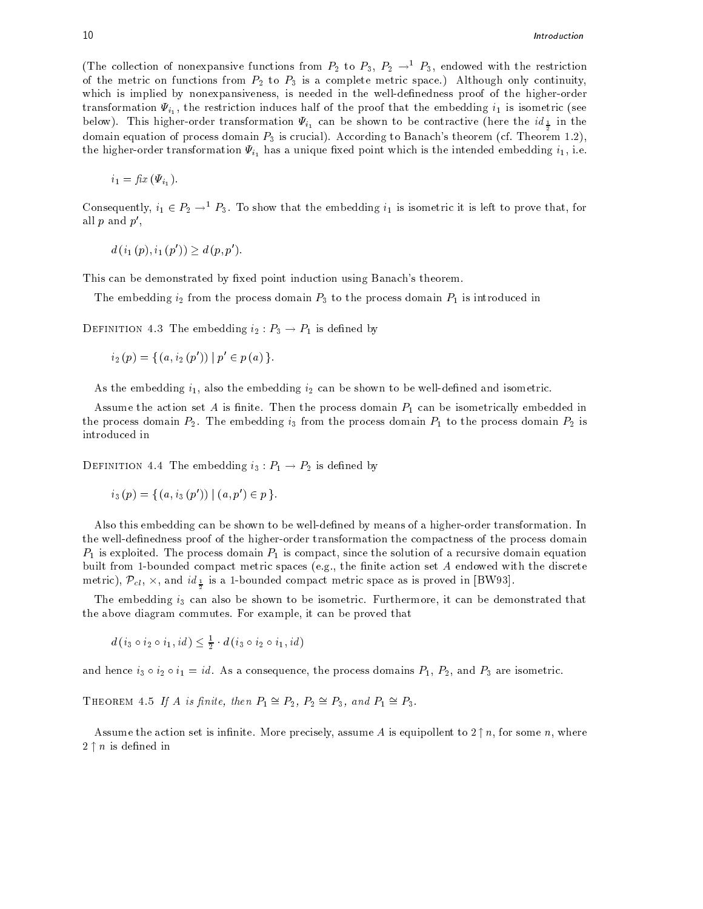(The collection of nonexpansive functions from  $P_2$  to  $P_3$ ,  $P_2 \rightarrow P_3$ , endowed with the restriction of the metric on functions from P-2 is a joint complete metric space  $\{P_{t}^{(n)}\}$  only continuitywhich is implied by nonexpansiveness-by nonexpansiveness-in the well-dened in the well-dened in the higherorder transformation  $\mathcal{L}_{i,j}$  , the problems that the matrix distriction is identified into the embedding  $\mathcal{L}_{i,j}$ in the shown to be shown the shown to be contracted in the internal of the internal contractive  $\frac{1}{2}$  and  $\frac{1}{2}$  are contracted in  $\frac{1}{2}$  domain equation of process domain P is crucial According to Banach theorem (according theorem - ) i  $\tau$  . However the derivative  $\tau$  is the intended embedding internal contribution is the intended embedding intended  $\tau$ 

$$
i_1 = \text{fix}\left(\Psi_{i_1}\right).
$$

Consequently,  $i_1 \in P_2 \to^{\perp} P_3$ . To show that the embedding  $i_1$  is isometric it is left to prove that, for all  $p$  and  $p'$ ,

$$
d(i_1(p), i_1(p')) \geq d(p, p').
$$

This can be demonstrated by fixed point induction using Banach's theorem.

The embedding i- from the process domain P to the process domain P is introduced in

DEFINITION 4.3 The embedding  $i_2: P_3 \to P_1$  is defined by

$$
i_2(p) = \{ (a, i_2(p')) \mid p' \in p(a) \}.
$$

 $A = \begin{bmatrix} 1 & 1 & 1 \ 1 & 1 & 1 \ 1 & 1 & 1 \end{bmatrix}$ 

Assume the action set A is finite. Then the process domain  $P_1$  can be isometrically embedded in the process domain P- The embedding i from the process domain P to the process domain P- is introduced in

DEFINITION 4.4 The embedding  $i_3: P_1 \rightarrow P_2$  is defined by

$$
i_3(p) = \{ (a, i_3(p')) | (a, p') \in p \}.
$$

Also this embedding can be shown to be well-defined by means of a higher-order transformation. In the well-definedness proof of the higher-order transformation the compactness of the process domain P is exploited The process domain P is compact- since the solution of a recursive domain equation built from a compact compact metric spaces eggs and metric action set A endowed with the discrete with the dis metric),  $\mathcal{P}_{cl}$ ,  $\times$ , and  $id_{\perp}$  is a 1-bounded compact metric space as is proved in [BW93].

the embedding in the metal of the shown to be demonstrated that the canonical contribution that the canonical the above diagrams commutes for example, the case of proved that

 $d (i_3 \circ i_2 \circ i_1, id) \leq \frac{1}{2} \cdot d (i_3 \circ i_2 \circ i_1, id)$ -

and hence  $i_3 \circ i_2 \circ i_1 = id$ . As a consequence, the process domains  $P_1$ ,  $P_2$ , and  $P_3$  are isometric.

THEOREM 4.5 If A is finite, then  $P_1 \cong P_2$ ,  $P_2 \cong P_3$ , and  $P_1 \cong P_3$ .

Assume the action set is infinite. More precisely, assume A is equipollent to  $2\uparrow n$ , for some n, where  $2 \uparrow n$  is defined in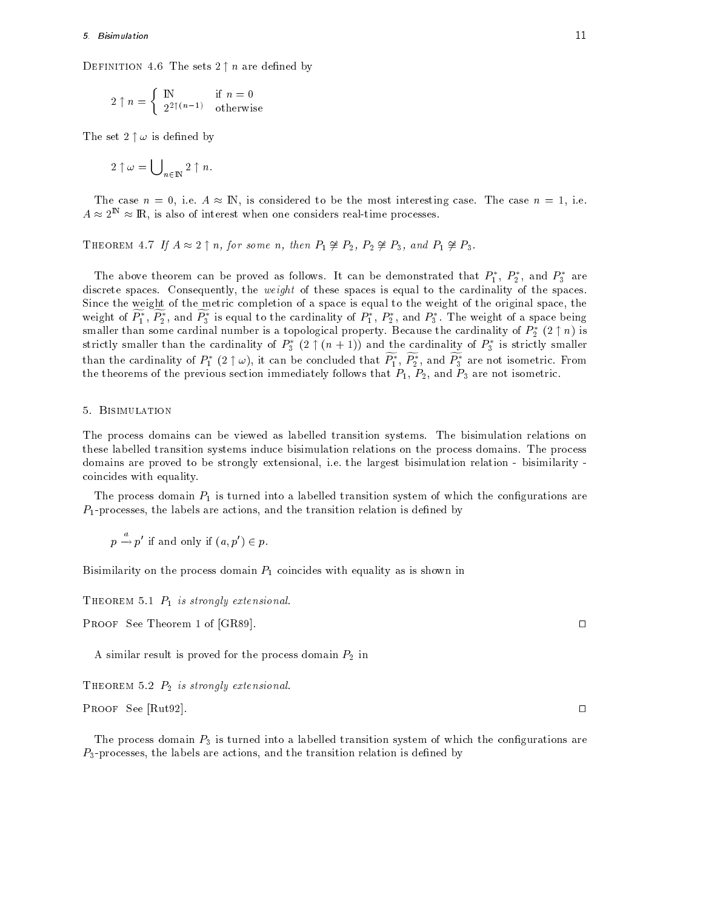DEFINITION 4.6 The sets  $2 \uparrow n$  are defined by

$$
2\uparrow n=\left\{\begin{array}{ll} \mathbb{N} & \text{if } n=0\\ 2^{2\uparrow(n-1)} & \text{otherwise} \end{array}\right.
$$

The set  $2 \uparrow \omega$  is defined by

$$
2\uparrow\omega=\bigcup\nolimits_{n\in\mathbb{N}}2\uparrow n.
$$

The case  $n = 0$ , i.e.  $A \approx \mathbb{N}$ , is considered to be the most interesting case. The case  $n = 1$ , i.e.  $A \approx 2^{\mathbb{N}} \approx \mathbb{R}$ , is also of interest when one considers real-time processes.

THEOREM 4.7 If  $A \approx 2 \uparrow n$ , for some n, then  $P_1 \not\cong P_2$ ,  $P_2 \not\cong P_3$ , and  $P_1 \not\cong P_3$ .

The above theorem can be proved as follows. It can be demonstrated that  $P_1,~P_2,$  and  $P_3$  are are the weight of the spaces is equal to the spaces is equal to the spaces is equal to the spaces. The spaces Since the weight of the metric completion of a space is equal to the weight of the original space- the weight of  $F_1, F_2,$  and  $F_3$  is equal to the cardinality of  $F_1, F_2,$  and  $F_3$  . The weight of a space being smaller than some cardinal number is a topological property. Because the cardinality of  $P_2^*\;(2\restriction n)$  is strictly smaller than the cardinality of  $P_3^*$   $(2 \uparrow (n+1))$  and the cardinality of  $P_3^*$  is strictly smaller than the cardinality of  $P_1^*$   $(2\uparrow \omega),$  it can be concluded that  $P_1^*,$   $P_2^*,$  and  $P_3^*$  are not isometric. From the theorems of the previous section immediately follows that P-4) when P-0 are not isometric to

The process domains can be viewed as labelled transition systems. The bisimulation relations on these labelled transition systems induce bisimulation relations on the process domains The process are in the proved to be strongly extensional-like the largest bisimilarity the strongly strongly the strongly coincides with equality

The process domain  $P_1$  is turned into a labelled transition system of which the configurations are r i harriers are are actions-the transitions) which is denominated are contract to distinct the signal contract

 $p \rightarrow p'$  if and only if  $(a, p') \in p$ .

Bisimilarity on the process domain  $P_1$  coincides with equality as is shown in

theorem is the strongly extension and the strongly extension of the strongly strongly and strongly and strongly strongly and strongly and strongly strongly and strongly strongly strongly strongly strongly strongly strongly

**PROOF** See Theorem 1 of [GR89].

a similar result is proved for the proved for the process domain P-  $\mu$  and  $\mu$ 

Theorem P- is strongly extensional

**PROOF** See [Rut92].

The process domain  $P_3$  is turned into a labelled transition system of which the configurations are Pprocesses- the labels are actions- and the transition relation is dened by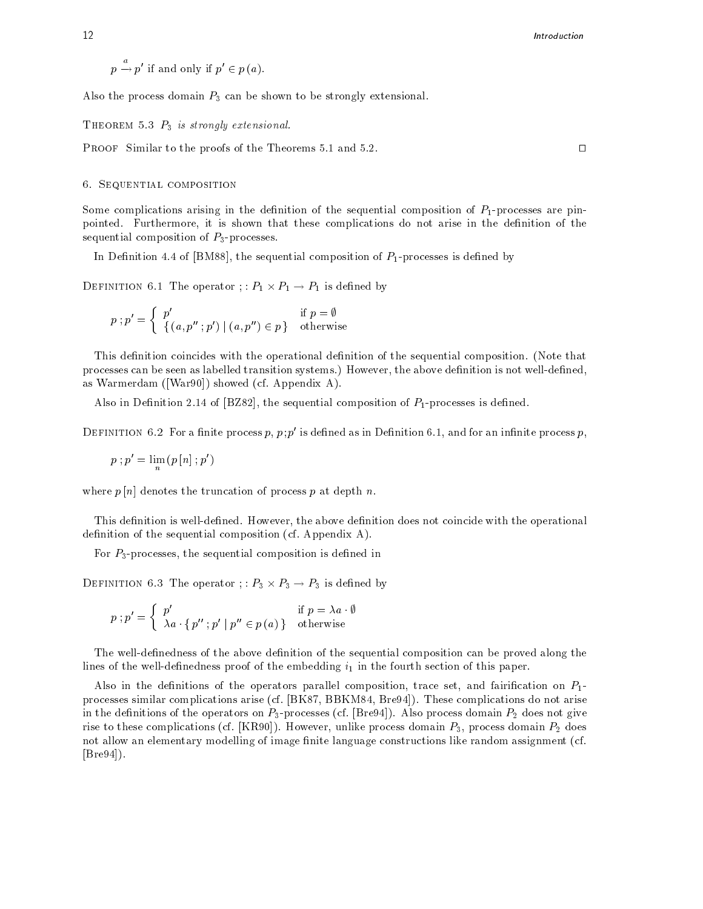$p \rightarrow p'$  if and only if  $p' \in p(a)$ .

Also the process domain  $P_3$  can be shown to be strongly extensional.

Theorem P is strongly extensional

**PROOF** Similar to the proofs of the Theorems 5.1 and 5.2.

# 6. SEQUENTIAL COMPOSITION

Some complications arising in the definition of the sequential composition of  $P_1$ -processes are pinpointed Furthermore- it is shown that these complications do not arise in the denition of the sequential composition of  $P_3$ -processes.

In Denition of BM - the sequential components is deep continuous in processes in distance of  $\mu$ 

DEFINITION 6.1 The operator :  $P_1 \times P_1 \rightarrow P_1$  is defined by

$$
p \mathbin{;} p' = \left\{ \begin{array}{lr} p' & \text{if } p = \emptyset \\ \left\{ \left( a, p'' \mathbin{;} p' \right) \mid \left( a, p'' \right) \in p \right\} & \text{otherwise} \end{array} \right.
$$

This definition coincides with the operational definition of the sequential composition. (Note that processes can be seen as labelled transition systems However, well the above denition is not well as the see as Warmerdam ([War90]) showed (cf. Appendix A).

also in Denition dial composition of Party is denoted the sequential composition of Party and the sequential c

DEFINITION 0.2 FOR a nifte process  $p, p, p$  is defined as in Definition 0.1, and for an infinite process  $p$ ,

 $p$ ;  $p = \lim_{n} (p[n]; p)$ 

where  $p[n]$  denotes the truncation of process p at depth n.

This denition is welldened However- the above denition does not coincide with the operational definition of the sequential composition (cf. Appendix  $A$ ).

For Pprocesses- the sequential composition is dened in

DEFINITION 6.3 The operator :  $P_3 \times P_3 \rightarrow P_3$  is defined by ses, the sequential composition is defined in<br>
The operator ; :  $P_3 \times P_3 \rightarrow P_3$  is defined by<br>  $p'$  if  $p = \lambda a \cdot \emptyset$ 

NITION 6.3 The operator ; : 
$$
P_3 \times P_3 \rightarrow P_3
$$
 is defined  
\n $p; p' = \begin{cases} p' & \text{if } p = \lambda a \cdot \emptyset \\ \lambda a \cdot \{p''; p' \mid p'' \in p(a)\} & \text{otherwise} \end{cases}$ 

The well-definedness of the above definition of the sequential composition can be proved along the lines of the well-definedness proof of the embedding  $i_1$  in the fourth section of this paper.

Also in the denitions of the operators parallel composition- trace set- and fairication on P processes similar complications arise change processes are are applications do not arise complications do not a in the denimitions of the operators on Ppperators (in processe), the case processes of a decomposition  $\alpha$ rise to these complications (and process)) receivering minimizes processes domain and p-p-p-p-p-p-p-p-p-p-p-pnot allow an elementary modelling of image finite language constructions like random assignment (cf.  $|Bre94|$ ).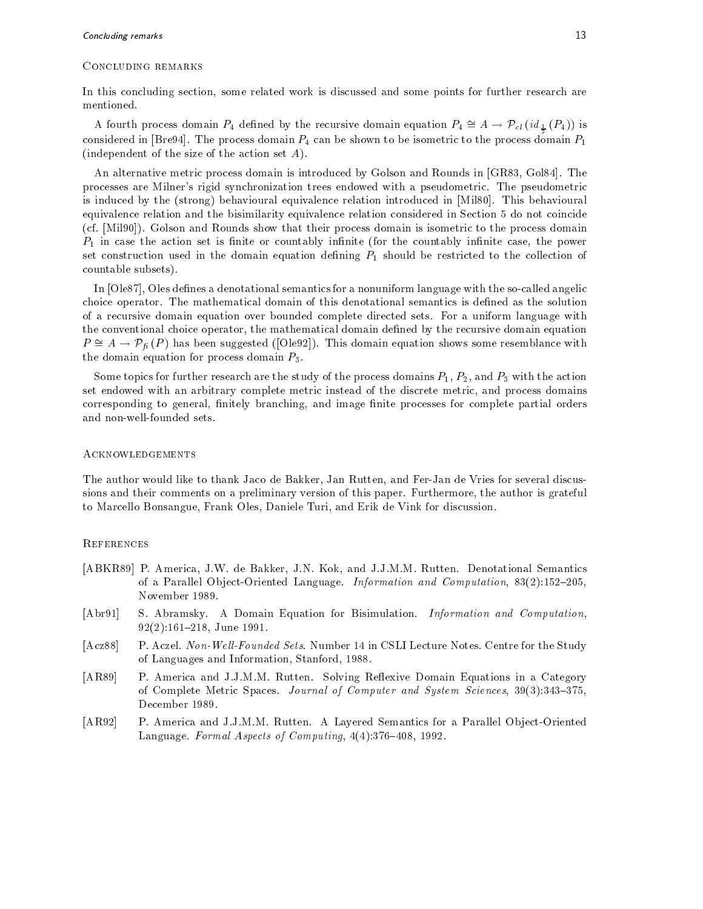### Concluding remarks

In this concluding section- some related work is discussed and some points for further research are mentioned The fourth process domain  $P_4$  defined by the recursive domain equation  $P_4 \cong A \to \mathcal{P}_{cl}(\mathit{id}_{\frac{1}{2}}(P_4))$  is<br>A fourth process domain  $P_4$  defined by the recursive domain equation  $P_4 \cong A \to \mathcal{P}_{cl}(\mathit{id}_{\frac{1}{2}}(P_4))$ 

considered in [Bre94]. The process domain  $P_4$  can be shown to be isometric to the process domain  $P_1$ (independent of the size of the action set  $A$ ).

an alternative metric process domains is introduced by Golson and Rounds in Grocery and Rounds in Grocery processes are Milner's rigid synchronization trees endowed with a pseudometric. The pseudometric is induced by the  $(\text{strong})$  behavioural equivalence relation introduced in  $[Mil80]$ . This behavioural equivalence relation and the bisimilarity equivalence relation considered in Section 5 do not coincide (cf. [Mil90]). Golson and Rounds show that their process domain is isometric to the process domain P in case the action set is nite or countably innite for the countably innite case- the power set construction used in the domain equation defining  $P_1$  should be restricted to the collection of countable subsets

In Ole - Oles denes a denotational semantics for a nonuniform language with the socalled angelic choice operator. The mathematical domain of this denotational semantics is defined as the solution of a recursive domain equation over bounded complete directed sets For a uniform language with the conventional choice operator- the mathematical domain dened by the recursive domain equation In [Ole87], Oles defines a denotational semantics for a nonuniform language with the so-called angelic<br>choice operator. The mathematical domain of this denotational semantics is defined as the solution<br>of a recursive doma the domain equation for process domain  $P_3$ .

some to possible further research are the study of the process domains P-11 - 21 with F-11 with the actions in set endowed with an arbitrary complete metric instead of the discrete metric- and process domains corresponding to general- nitely branching- and image nite processes for complete partial orders and non-well-founded sets.

# **ACKNOWLEDGEMENTS**

the author would like to thank Jaco de Bakker-Jacob discussion, which is the view of the Vries for several dis sions and their comments on a preliminary version of this paper Furthermore- the author is grateful to Marcello Bonsangue- Frank Oles- Daniele Turi- and Erik de Vink for discussion

# **REFERENCES**

- , and provided to be and June 1988, the process of the process of the semantics of the contraction of the contract of  $\alpha$  is a parallel obtained Language Information and Computation and Computation-November
- [Abr91] S. Abramsky. A Domain Equation for Bisimulation. Information and Computation. - June
- [Acz88] P. Aczel. Non-Well-Founded Sets. Number 14 in CSLI Lecture Notes. Centre for the Study of Languages and Information-Information-Information-Information-Information-Information-Information-Informatio
- [AR89] P. America and J.J.M.M. Rutten. Solving Reflexive Domain Equations in a Category  $\blacksquare$  -  $\blacksquare$  -  $\blacksquare$  -  $\blacksquare$  -  $\blacksquare$  -  $\blacksquare$  -  $\blacksquare$  -  $\blacksquare$  -  $\blacksquare$  -  $\blacksquare$  -  $\blacksquare$  -  $\blacksquare$  -  $\blacksquare$  -  $\blacksquare$  -  $\blacksquare$  -  $\blacksquare$  -  $\blacksquare$  -  $\blacksquare$  -  $\blacksquare$  -  $\blacksquare$  -  $\blacksquare$  -  $\blacksquare$  -  $\blacksquare$  -  $\blacksquare$  -  $\blacksquare$ December 1989.
- [AR92] P. America and J.J.M.M. Rutten. A Layered Semantics for a Parallel Object-Oriented Language Formal Aspects of Computing- -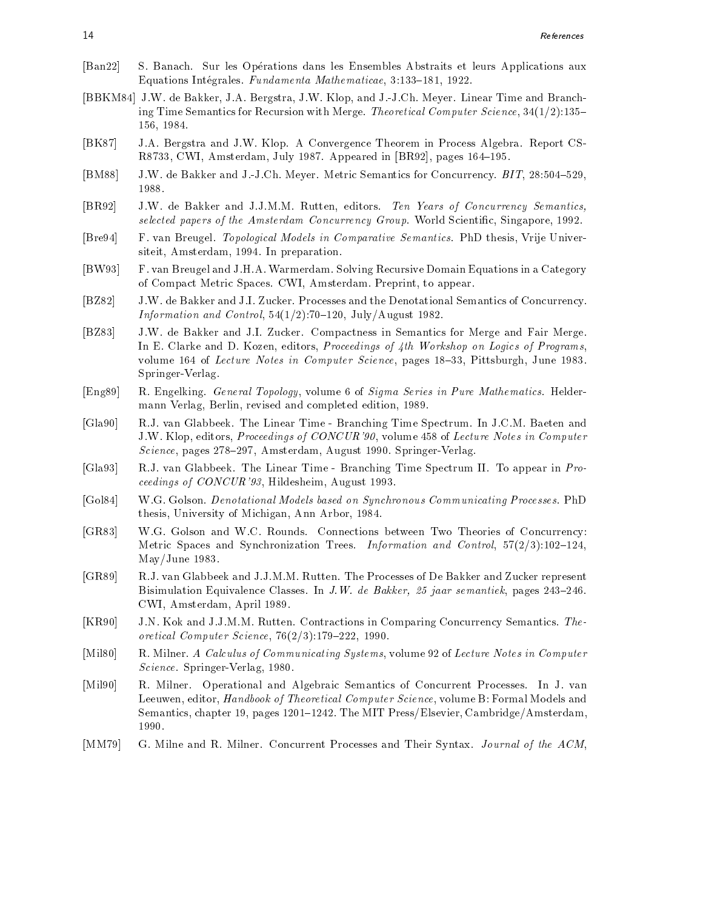- [Ban22] S. Banach. Sur les Opérations dans les Ensembles Abstraits et leurs Applications aux equations and exchange fundamental mathematically press fundamental mathematical
- BBKM JW de Bakker- JA Bergstra- JW Klop- and JJCh Meyer Linear Time and Branch ing Time Semantics for Recursion with Merge Theoretical Computer Science- ---------
- $[BK87]$ J.A. Bergstra and J.W. Klop. A Convergence Theorem in Process Algebra. Report CSred in the contract of the contract of the contract of the contract of the contract of the contract of the contract of the contract of the contract of the contract of the contract of the contract of the contract of the con
- present and the Bakker and Julian Semantics for Concerning the Concerning of Alberta Bit-Julian Semantics for 1988.
- , and June 1988, and June 2002, and June 2002, and June 2002, and June 2002, and June 2003, and June 2003, and selected papers of the Amsterdam Concurrency Group World Scientific-Ampters Scientific-Concert World Scientic
- Bre F van Breugel Topological Models in Comparative Semantics PhD thesis- Vrije Univer siteit, comme the moment, which we have presented and the second state of the second state of the second state
- [BW93] F. van Breugel and J.H.A. Warmerdam. Solving Recursive Domain Equations in a Category of Compact Metric Spaces Compact Metric Spaces Compact Metric Spaces Compact Spaces Compact Metric Spaces Comp
- [BZ82] J.W. de Bakker and J.I. Zucker. Processes and the Denotational Semantics of Concurrency. - Information and Control of Landscheller and Control-Control-Control-Control-Control-Control-Control-Control-
- [BZ83] J.W. de Bakker and J.I. Zucker. Compactness in Semantics for Merge and Fair Merge. In E Clarke and D Kozen- editors- Proceedings of th Workshop on Logics of Programsvolume of Lecture Notes in Computer Science- pages - Pittsburgh- June  Springer-Verlag.
- $\mathbb R$  R Engels General Topology-Series in Pure Mathematics Helders in Pure Mathematics Helders Helders Helders Helders Helders Helders Helders Helders Helders Helders Helders Helders Helders Helders Helders Helders Helde mann Verlag- Berlin- revised and completed edition-
- [Gla90] R.J. van Glabbeek. The Linear Time Branching Time Spectrum. In J.C.M. Baeten and JW Klop- editors- Proceedings of CONCUR - volume of Lecture Notes in Computer en andere verlag van die deur die deur die deur die deur die deur die deur die deur die deur die deur die deur
- [Gla93] R.J. van Glabbeek. The Linear Time Branching Time Spectrum II. To appear in Proceedings of CONCUR - Hildesheim- August
- [Gol84] W.G. Golson. *Denotational Models based on Synchronous Communicating Processes*. PhD thesis- and arbor- and michigan- and arbor- and are an arbor-
- [GR83] W.G. Golson and W.C. Rounds. Connections between Two Theories of Concurrency: Metric Spaces and Synchronization Trees Information and Control- - $May/June$  1983.
- [GR89] R.J. van Glabbeek and J.J.M.M. Rutten. The Processes of De Bakker and Zucker represent Bisimulation Equivalence Classes In JW de Bakker  jaar semantiek- pages CWI- Amsterdam- April
- [KR90] J.N. Kok and J.J.M.M. Rutten. Contractions in Comparing Concurrency Semantics. Theoretical Computer Science- -
- $\mathbf 1$  and  $\mathbf 2$  calculus of  $\mathbf 2$  calculus of  $\mathbf 2$  and  $\mathbf 2$  and  $\mathbf 2$  and  $\mathbf 2$  and  $\mathbf 2$  and  $\mathbf 2$  and  $\mathbf 2$  and  $\mathbf 2$  and  $\mathbf 2$  and  $\mathbf 2$  and  $\mathbf 2$  and  $\mathbf 2$  and  $\mathbf 2$  and  $\mathbf 2$  and Science Springer Verlag-Verlag-Verlag-Verlag-Verlag-Verlag-Verlag-Verlag-Verlag-Verlag-Verlag-Verlag-Verlag-Ve
- [Mil90] R. Milner. Operational and Algebraic Semantics of Concurrent Processes. In J. van Leeuwen- editor- Handbook of Theoretical Computer Science- volume B Formal Models and semantics-, chapter of pages parts and and more allows, and completely community that are allowed 1990.
- [MM79] G. Milne and R. Milner. Concurrent Processes and Their Syntax. Journal of the ACM,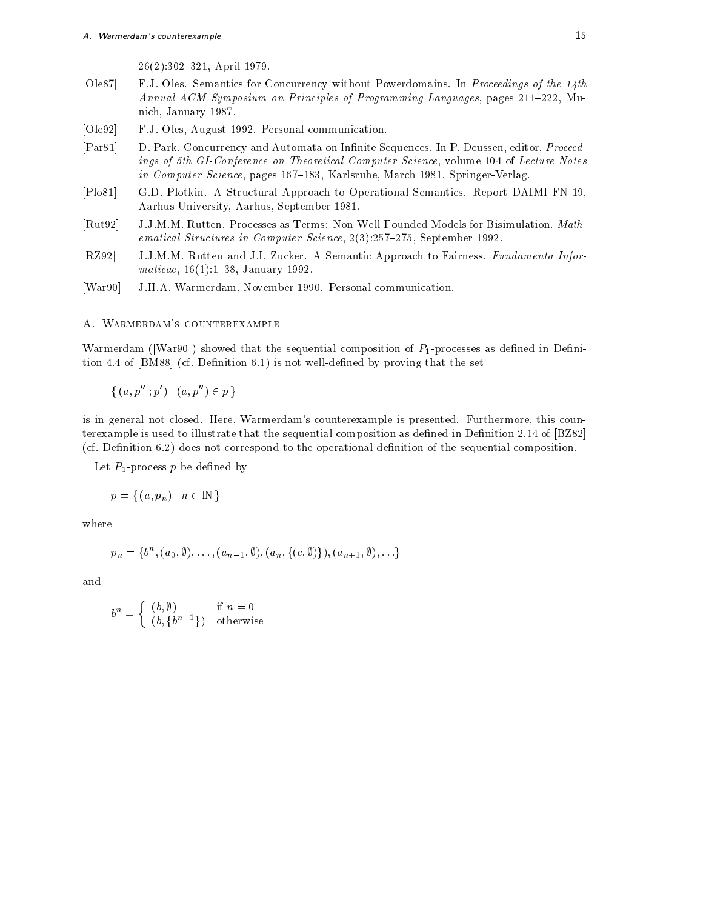- April  

- $[Ole87]$ F.J. Oles. Semantics for Concurrency without Powerdomains. In *Proceedings of the 14th* Annual ACM Symposium on Principles of Programming Languages- pages - Mu nich-January (1986). The contract of the contract of the contract of the contract of the contract of the contract of the contract of the contract of the contract of the contract of the contract of the contract of the contr
- , prime, the communication of the communication of the communication of the communication of the communication
- , proceed and a proceed of the Deutsch-Automatic Section In Processing and Automatic Section 2014, and a proceed ings if the Giconference on Theoretical Computer Science, Internet Theoretical Computer Sciencein computer structly pages con computerements accessive controller incomputer the springer
- [Plo81] G.D. Plotkin. A Structural Approach to Operational Semantics. Report DAIMI FN-19, Aarhus University- Aarhus- September
- [Rut92] J.J.M.M. Rutten. Processes as Terms: Non-Well-Founded Models for Bisimulation. Mathematical Structures in Computer Science- - September
- [RZ92] J.J.M.M. Rutten and J.I. Zucker. A Semantic Approach to Fairness. Fundamenta Informaticae- - January
- War
 JHA Warmerdam- November 
 Personal communication

A. WARMERDAM'S COUNTEREXAMPLE

Warmerdam ( $[War90]$ ) showed that the sequential composition of  $P_1$ -processes as defined in Definition  $4.4$  of  $[BMS8]$  (cf. Definition 6.1) is not well-defined by proving that the set

 $\{(a, p''; p') | (a, p'') \in p\}$ 

is in general not closed Here- Warmerdams counterexample is presented Furthermore- this coun terexample is used to illustrate that the sequential composition as defined in Definition  $2.14$  of  $[2Z82]$ (cf. Definition  $6.2$ ) does not correspond to the operational definition of the sequential composition.

Let  $P_1$ -process p be defined by

$$
p = \{ (a, p_n) \mid n \in \mathbb{N} \}
$$

where

$$
p_n = \{b^n, (a_0, \emptyset), \ldots, (a_{n-1}, \emptyset), (a_n, \{(c, \emptyset)\}), (a_{n+1}, \emptyset), \ldots\}
$$

and

$$
b^n = \begin{cases} (b, \emptyset) & \text{if } n = 0\\ (b, \{b^{n-1}\}) & \text{otherwise} \end{cases}
$$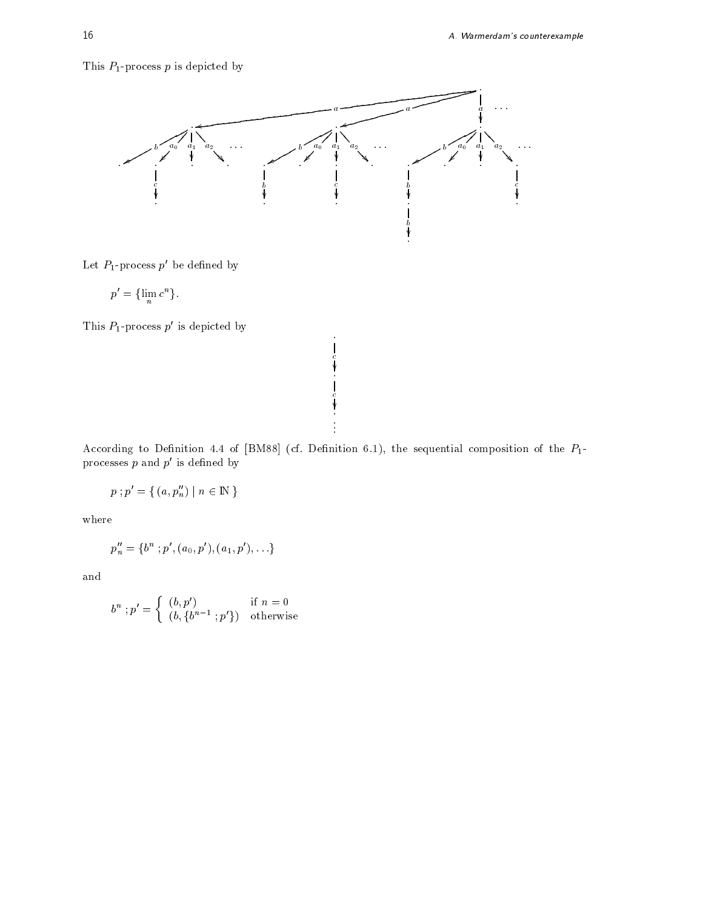# This  $P_1$ -process p is depicted by



Let  $P_1$ -process  $p'$  be defined by

$$
p' = \{\lim_{n} c^{n}\}.
$$

This  $P_1$ -process  $p'$  is depicted by

According to Denition of the set  $\mathcal{A}$  and  $\mathcal{A}$  are sequently component components to the PT  $\mathcal{A}$ processes  $p$  and  $p'$  is defined by

. .

. communication of the communication of the communication of the communication of

$$
p\mathbin{;} p'=\{\, (a,p''_n)\mid n\in{\rm I\!N}\,\}
$$

where

$$
p_n''=\{b^n~;p', (a_0,p'), (a_1,p'), \ldots\}
$$

and

$$
b^n : p' = \begin{cases} (b, p') & \text{if } n = 0\\ (b, \{b^{n-1} : p'\}) & \text{otherwise} \end{cases}
$$